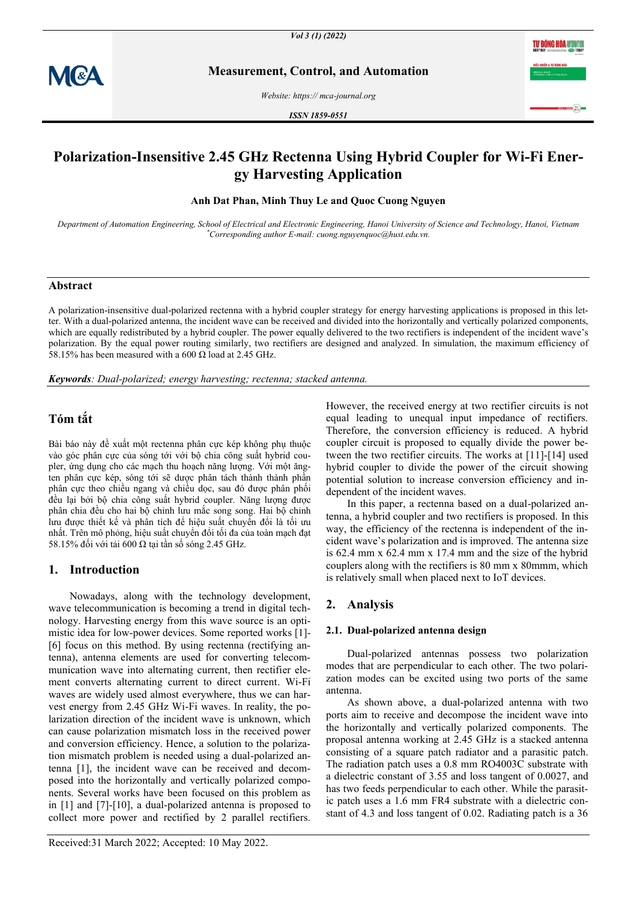

**Measurement, Control, and Automation**

*Website: https:// mca-journal.org*

*ISSN 1859-0551*

# **Polarization-Insensitive 2.45 GHz Rectenna Using Hybrid Coupler for Wi-Fi Energy Harvesting Application**

**Anh Dat Phan, Minh Thuy Le and Quoc Cuong Nguyen**

*Department of Automation Engineering, School of Electrical and Electronic Engineering, Hanoi University of Science and Technology, Hanoi, Vietnam \*Corresponding author E-mail: cuong.nguyenquoc@hust.edu.vn.*

# **Abstract**

A polarization-insensitive dual-polarized rectenna with a hybrid coupler strategy for energy harvesting applications is proposed in this letter. With a dual-polarized antenna, the incident wave can be received and divided into the horizontally and vertically polarized components, which are equally redistributed by a hybrid coupler. The power equally delivered to the two rectifiers is independent of the incident wave's polarization. By the equal power routing similarly, two rectifiers are designed and analyzed. In simulation, the maximum efficiency of 58.15% has been measured with a 600  $\Omega$  load at 2.45 GHz.

*Keywords: Dual-polarized; energy harvesting; rectenna; stacked antenna.*

# **Tóm tắt**

Bài báo này đề xuất một rectenna phân cực kép không phụ thuộc vào góc phân cực của sóng tới với bộ chia công suất hybrid coupler, ứng dụng cho các mạch thu hoạch năng lượng. Với một ăngten phân cực kép, sóng tới sẽ dược phân tách thành thành phần phân cực theo chiều ngang và chiều dọc, sau đó được phân phối đều lại bởi bộ chia công suất hybrid coupler. Năng lượng được phân chia đều cho hai bộ chỉnh lưu mắc song song. Hai bộ chỉnh lưu được thiết kế và phân tích để hiệu suất chuyển đổi là tối ưu nhất. Trên mô phỏng, hiệu suất chuyển đổi tối đa của toàn mạch đạt 58.15% đối với tải 600 Ω tại tần số sóng 2.45 GHz.

## **1. Introduction**

Nowadays, along with the technology development, wave telecommunication is becoming a trend in digital technology. Harvesting energy from this wave source is an optimistic idea for low-power devices. Some reported works [1]- [6] focus on this method. By using rectenna (rectifying antenna), antenna elements are used for converting telecommunication wave into alternating current, then rectifier element converts alternating current to direct current. Wi-Fi waves are widely used almost everywhere, thus we can harvest energy from 2.45 GHz Wi-Fi waves. In reality, the polarization direction of the incident wave is unknown, which can cause polarization mismatch loss in the received power and conversion efficiency. Hence, a solution to the polarization mismatch problem is needed using a dual-polarized antenna [1], the incident wave can be received and decomposed into the horizontally and vertically polarized components. Several works have been focused on this problem as in [1] and [7]-[10], a dual-polarized antenna is proposed to collect more power and rectified by 2 parallel rectifiers.

However, the received energy at two rectifier circuits is not equal leading to unequal input impedance of rectifiers. Therefore, the conversion efficiency is reduced. A hybrid coupler circuit is proposed to equally divide the power between the two rectifier circuits. The works at [11]-[14] used hybrid coupler to divide the power of the circuit showing potential solution to increase conversion efficiency and independent of the incident waves.

In this paper, a rectenna based on a dual-polarized antenna, a hybrid coupler and two rectifiers is proposed. In this way, the efficiency of the rectenna is independent of the incident wave's polarization and is improved. The antenna size is 62.4 mm x 62.4 mm x 17.4 mm and the size of the hybrid couplers along with the rectifiers is 80 mm x 80mmm, which is relatively small when placed next to IoT devices.

## **2. Analysis**

#### **2.1. Dual-polarized antenna design**

Dual-polarized antennas possess two polarization modes that are perpendicular to each other. The two polarization modes can be excited using two ports of the same antenna.

As shown above, a dual-polarized antenna with two ports aim to receive and decompose the incident wave into the horizontally and vertically polarized components. The proposal antenna working at 2.45 GHz is a stacked antenna consisting of a square patch radiator and a parasitic patch. The radiation patch uses a 0.8 mm RO4003C substrate with a dielectric constant of 3.55 and loss tangent of 0.0027, and has two feeds perpendicular to each other. While the parasitic patch uses a 1.6 mm FR4 substrate with a dielectric constant of 4.3 and loss tangent of 0.02. Radiating patch is a 36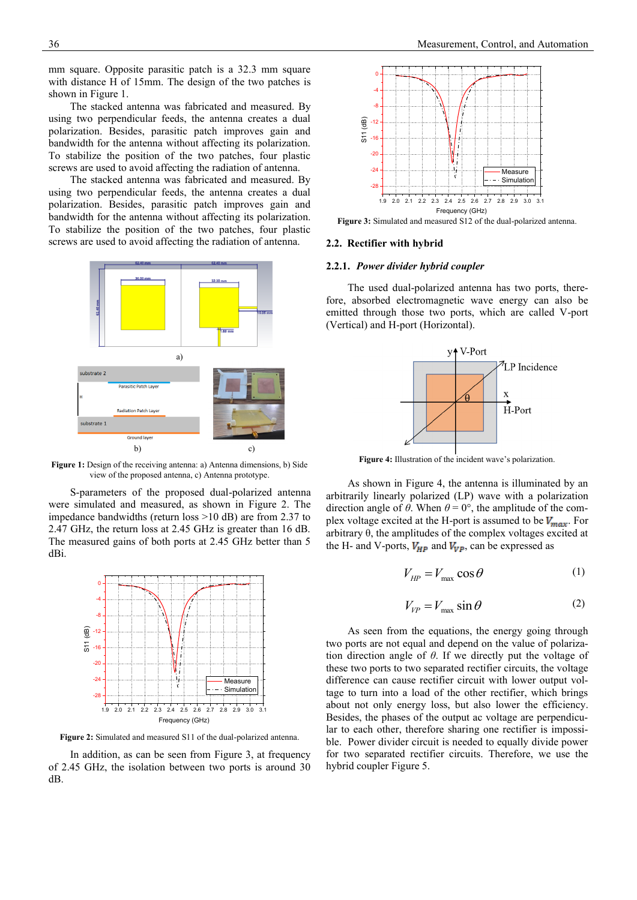mm square. Opposite parasitic patch is a 32.3 mm square with distance H of 15mm. The design of the two patches is shown in Figure 1.

The stacked antenna was fabricated and measured. By using two perpendicular feeds, the antenna creates a dual polarization. Besides, parasitic patch improves gain and bandwidth for the antenna without affecting its polarization. To stabilize the position of the two patches, four plastic screws are used to avoid affecting the radiation of antenna.

The stacked antenna was fabricated and measured. By using two perpendicular feeds, the antenna creates a dual polarization. Besides, parasitic patch improves gain and bandwidth for the antenna without affecting its polarization. To stabilize the position of the two patches, four plastic screws are used to avoid affecting the radiation of antenna.



**Figure 1:** Design of the receiving antenna: a) Antenna dimensions, b) Side view of the proposed antenna, c) Antenna prototype.

S-parameters of the proposed dual-polarized antenna were simulated and measured, as shown in Figure 2. The impedance bandwidths (return loss >10 dB) are from 2.37 to 2.47 GHz, the return loss at 2.45 GHz is greater than 16 dB. The measured gains of both ports at 2.45 GHz better than 5 dBi.



**Figure 2:** Simulated and measured S11 of the dual-polarized antenna.

In addition, as can be seen from Figure 3, at frequency of 2.45 GHz, the isolation between two ports is around 30 dB.



**Figure 3:** Simulated and measured S12 of the dual-polarized antenna.

### **2.2. Rectifier with hybrid**

#### **2.2.1.** *Power divider hybrid coupler*

The used dual-polarized antenna has two ports, therefore, absorbed electromagnetic wave energy can also be emitted through those two ports, which are called V-port (Vertical) and H-port (Horizontal).



**Figure 4:** Illustration of the incident wave's polarization.

As shown in Figure 4, the antenna is illuminated by an arbitrarily linearly polarized (LP) wave with a polarization direction angle of  $\theta$ . When  $\theta = 0^{\circ}$ , the amplitude of the complex voltage excited at the H-port is assumed to be  $V_{max}$ . For arbitrary θ, the amplitudes of the complex voltages excited at the H- and V-ports,  $V_{HP}$  and  $V_{VP}$ , can be expressed as

$$
V_{HP} = V_{\text{max}} \cos \theta \tag{1}
$$

$$
V_{VP} = V_{\text{max}} \sin \theta \tag{2}
$$

As seen from the equations, the energy going through two ports are not equal and depend on the value of polarization direction angle of *θ*. If we directly put the voltage of these two ports to two separated rectifier circuits, the voltage difference can cause rectifier circuit with lower output voltage to turn into a load of the other rectifier, which brings about not only energy loss, but also lower the efficiency. Besides, the phases of the output ac voltage are perpendicular to each other, therefore sharing one rectifier is impossible. Power divider circuit is needed to equally divide power for two separated rectifier circuits. Therefore, we use the hybrid coupler Figure 5.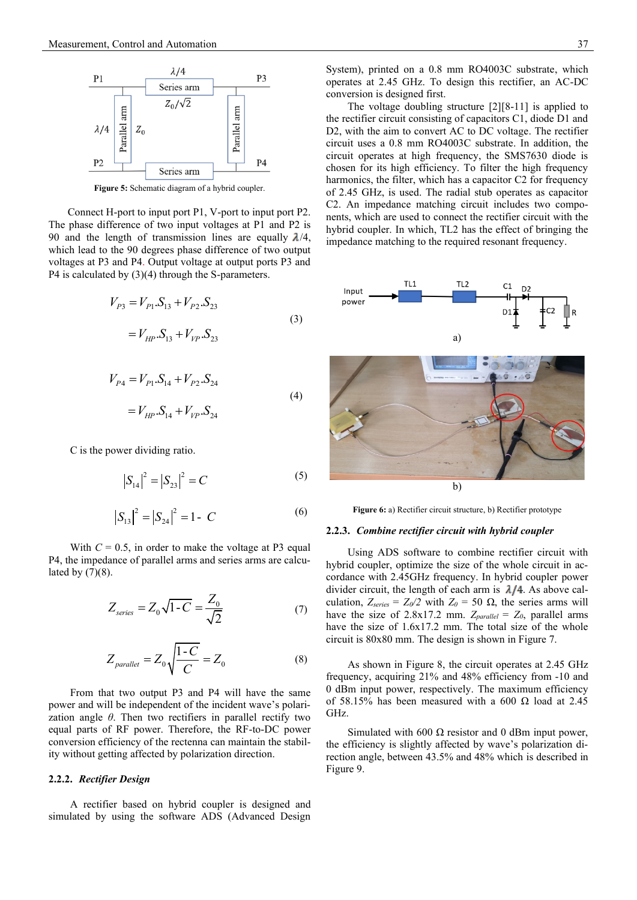

**Figure 5:** Schematic diagram of a hybrid coupler.

Connect H-port to input port P1, V-port to input port P2. The phase difference of two input voltages at P1 and P2 is 90 and the length of transmission lines are equally  $\lambda/4$ , which lead to the 90 degrees phase difference of two output voltages at P3 and P4. Output voltage at output ports P3 and P4 is calculated by (3)(4) through the S-parameters.

$$
V_{P3} = V_{P1} \cdot S_{13} + V_{P2} \cdot S_{23}
$$
  
=  $V_{HP} \cdot S_{13} + V_{VP} \cdot S_{23}$  (3)

$$
V_{P4} = V_{P1} \cdot S_{14} + V_{P2} \cdot S_{24}
$$
  
=  $V_{HP} \cdot S_{14} + V_{VP} \cdot S_{24}$  (4)

C is the power dividing ratio.

$$
\left|S_{14}\right|^2 = \left|S_{23}\right|^2 = C\tag{5}
$$

$$
|S_{13}|^2 = |S_{24}|^2 = 1 - C
$$
 (6)

With  $C = 0.5$ , in order to make the voltage at P3 equal P4, the impedance of parallel arms and series arms are calculated by  $(7)(8)$ .

$$
Z_{series} = Z_0 \sqrt{1 - C} = \frac{Z_0}{\sqrt{2}} \tag{7}
$$

$$
Z_{\text{parallel}} = Z_0 \sqrt{\frac{1 - C}{C}} = Z_0 \tag{8}
$$

From that two output P3 and P4 will have the same power and will be independent of the incident wave's polarization angle *θ*. Then two rectifiers in parallel rectify two equal parts of RF power. Therefore, the RF-to-DC power conversion efficiency of the rectenna can maintain the stability without getting affected by polarization direction.

### **2.2.2.** *Rectifier Design*

A rectifier based on hybrid coupler is designed and simulated by using the software ADS (Advanced Design

System), printed on a 0.8 mm RO4003C substrate, which operates at 2.45 GHz. To design this rectifier, an AC-DC conversion is designed first.

The voltage doubling structure [2][8-11] is applied to the rectifier circuit consisting of capacitors C1, diode D1 and D2, with the aim to convert AC to DC voltage. The rectifier circuit uses a 0.8 mm RO4003C substrate. In addition, the circuit operates at high frequency, the SMS7630 diode is chosen for its high efficiency. To filter the high frequency harmonics, the filter, which has a capacitor C2 for frequency of 2.45 GHz, is used. The radial stub operates as capacitor C2. An impedance matching circuit includes two components, which are used to connect the rectifier circuit with the hybrid coupler. In which, TL2 has the effect of bringing the impedance matching to the required resonant frequency.



**Figure 6:** a) Rectifier circuit structure, b) Rectifier prototype

### **2.2.3.** *Combine rectifier circuit with hybrid coupler*

Using ADS software to combine rectifier circuit with hybrid coupler, optimize the size of the whole circuit in accordance with 2.45GHz frequency. In hybrid coupler power divider circuit, the length of each arm is  $\lambda/4$ . As above calculation,  $Z_{series} = Z_0/2$  with  $Z_0 = 50 \Omega$ , the series arms will have the size of 2.8x17.2 mm.  $Z_{parallel} = Z_0$ , parallel arms have the size of 1.6x17.2 mm. The total size of the whole circuit is 80x80 mm. The design is shown in Figure 7.

As shown in Figure 8, the circuit operates at 2.45 GHz frequency, acquiring 21% and 48% efficiency from -10 and 0 dBm input power, respectively. The maximum efficiency of 58.15% has been measured with a 600  $\Omega$  load at 2.45 GHz.

Simulated with 600 Ω resistor and 0 dBm input power, the efficiency is slightly affected by wave's polarization direction angle, between 43.5% and 48% which is described in Figure 9.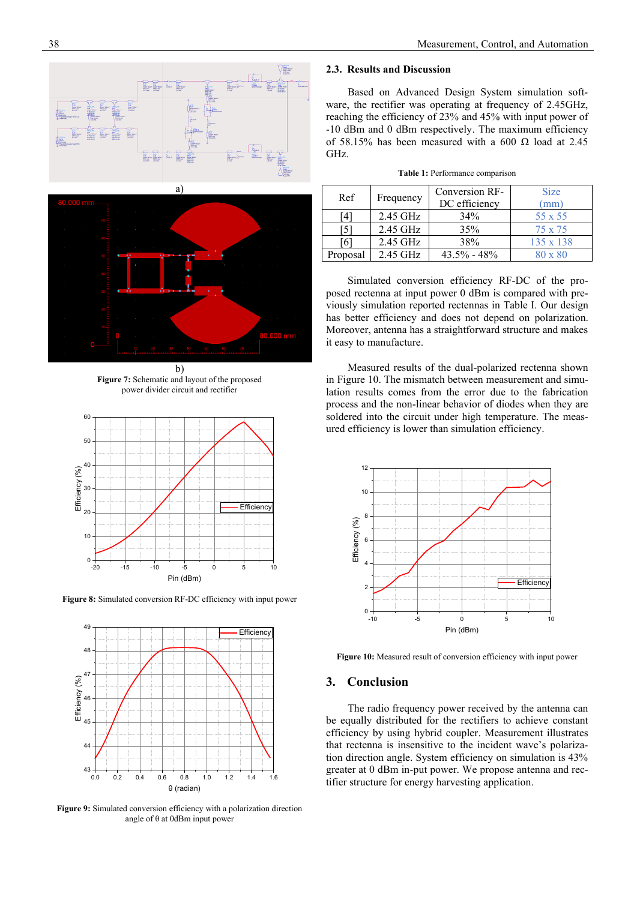



b) **Figure 7:** Schematic and layout of the proposed power divider circuit and rectifier



**Figure 8:** Simulated conversion RF-DC efficiency with input power



**Figure 9:** Simulated conversion efficiency with a polarization direction angle of θ at 0dBm input power

## **2.3. Results and Discussion**

Based on Advanced Design System simulation software, the rectifier was operating at frequency of 2.45GHz, reaching the efficiency of 23% and 45% with input power of -10 dBm and 0 dBm respectively. The maximum efficiency of 58.15% has been measured with a 600  $\Omega$  load at 2.45 GHz.

|  | Table 1: Performance comparison |  |
|--|---------------------------------|--|
|  |                                 |  |

| Ref      | Frequency | Conversion RF-<br>DC efficiency | <b>Size</b><br>$\text{mm}$ |
|----------|-----------|---------------------------------|----------------------------|
| 4        | 2.45 GHz  | 34%                             | $55 \times 55$             |
|          | 2.45 GHz  | 35%                             | $75 \times 75$             |
| 6        | 2.45 GHz  | 38%                             | $135 \times 138$           |
| Proposal | 2.45 GHz  | $43.5\% - 48\%$                 | $80 \times 80$             |

Simulated conversion efficiency RF-DC of the proposed rectenna at input power 0 dBm is compared with previously simulation reported rectennas in Table I. Our design has better efficiency and does not depend on polarization. Moreover, antenna has a straightforward structure and makes it easy to manufacture.

Measured results of the dual-polarized rectenna shown in Figure 10. The mismatch between measurement and simulation results comes from the error due to the fabrication process and the non-linear behavior of diodes when they are soldered into the circuit under high temperature. The measured efficiency is lower than simulation efficiency.



**Figure 10:** Measured result of conversion efficiency with input power

## **3. Conclusion**

The radio frequency power received by the antenna can be equally distributed for the rectifiers to achieve constant efficiency by using hybrid coupler. Measurement illustrates that rectenna is insensitive to the incident wave's polarization direction angle. System efficiency on simulation is 43% greater at 0 dBm in-put power. We propose antenna and rectifier structure for energy harvesting application.